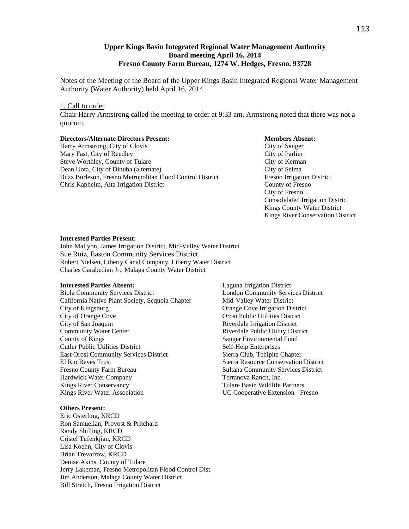## **Upper Kings Basin Integrated Regional Water Management Authority Board meeting April 16, 2014 Fresno County Farm Bureau, 1274 W. Hedges, Fresno, 93728**

Notes of the Meeting of the Board of the Upper Kings Basin Integrated Regional Water Management Authority (Water Authority) held April 16, 2014.

## 1. Call to order

Chair Harry Armstrong called the meeting to order at 9:33 am. Armstrong noted that there was not a quorum.

#### **Directors/Alternate Directors Present: Members Absent:**

Harry Armstrong, City of Clovis City of Sanger Mary Fast, City of Reedley City of Parlier Steve Worthley, County of Tulare City of Kerman Dean Uota, City of Dinuba (alternate) City of Selma Buzz Burleson, Fresno Metropolitan Flood Control District Fresno Irrigation District Chris Kapheim, Alta Irrigation District County of Fresno

 City of Fresno Consolidated Irrigation District Kings County Water District Kings River Conservation District

#### **Interested Parties Present:**

John Mallyon, James Irrigation District, Mid-Valley Water District Sue Ruiz, Easton Community Services District Robert Nielsen, Liberty Canal Company, Liberty Water District Charles Garabedian Jr., Malaga County Water District

#### **Interested Parties Absent:**

Biola Community Services District California Native Plant Society, Sequoia Chapter City of Kingsburg City of Orange Cove City of San Joaquin Community Water Center County of Kings Cutler Public Utilities District East Orosi Community Services District El Rio Reyes Trust Fresno County Farm Bureau Hardwick Water Company Kings River Conservancy Kings River Water Association

## **Others Present:**

Eric Osterling, KRCD Ron Samuelian, Provost & Pritchard Randy Shilling, KRCD Cristel Tufenkjian, KRCD Lisa Koehn, City of Clovis Brian Trevarrow, KRCD Denise Akins, County of Tulare Jerry Lakeman, Fresno Metropolitan Flood Control Dist. Jim Anderson, Malaga County Water District Bill Stretch, Fresno Irrigation District

Laguna Irrigation District London Community Services District Mid-Valley Water District Orange Cove Irrigation District Orosi Public Utilities District Riverdale Irrigation District Riverdale Public Utility District Sanger Environmental Fund Self-Help Enterprises Sierra Club, Tehipite Chapter Sierra Resource Conservation District Sultana Community Services District Terranova Ranch, Inc. Tulare Basin Wildlife Partners UC Cooperative Extension - Fresno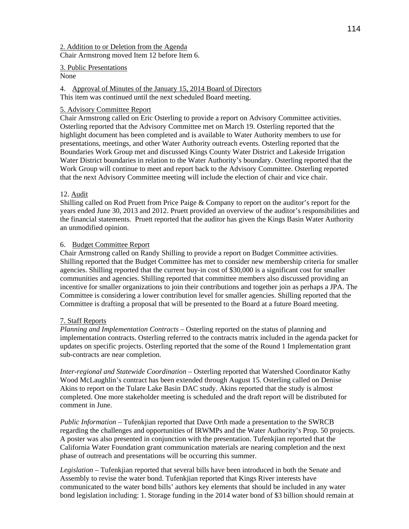2. Addition to or Deletion from the Agenda Chair Armstrong moved Item 12 before Item 6.

3. Public Presentations

None

4. Approval of Minutes of the January 15, 2014 Board of Directors

This item was continued until the next scheduled Board meeting.

# 5. Advisory Committee Report

Chair Armstrong called on Eric Osterling to provide a report on Advisory Committee activities. Osterling reported that the Advisory Committee met on March 19. Osterling reported that the highlight document has been completed and is available to Water Authority members to use for presentations, meetings, and other Water Authority outreach events. Osterling reported that the Boundaries Work Group met and discussed Kings County Water District and Lakeside Irrigation Water District boundaries in relation to the Water Authority's boundary. Osterling reported that the Work Group will continue to meet and report back to the Advisory Committee. Osterling reported that the next Advisory Committee meeting will include the election of chair and vice chair.

# 12. Audit

Shilling called on Rod Pruett from Price Paige & Company to report on the auditor's report for the years ended June 30, 2013 and 2012. Pruett provided an overview of the auditor's responsibilities and the financial statements. Pruett reported that the auditor has given the Kings Basin Water Authority an unmodified opinion.

# 6. Budget Committee Report

Chair Armstrong called on Randy Shilling to provide a report on Budget Committee activities. Shilling reported that the Budget Committee has met to consider new membership criteria for smaller agencies. Shilling reported that the current buy-in cost of \$30,000 is a significant cost for smaller communities and agencies. Shilling reported that committee members also discussed providing an incentive for smaller organizations to join their contributions and together join as perhaps a JPA. The Committee is considering a lower contribution level for smaller agencies. Shilling reported that the Committee is drafting a proposal that will be presented to the Board at a future Board meeting.

# 7. Staff Reports

*Planning and Implementation Contracts* – Osterling reported on the status of planning and implementation contracts. Osterling referred to the contracts matrix included in the agenda packet for updates on specific projects. Osterling reported that the some of the Round 1 Implementation grant sub-contracts are near completion.

*Inter-regional and Statewide Coordination* – Osterling reported that Watershed Coordinator Kathy Wood McLaughlin's contract has been extended through August 15. Osterling called on Denise Akins to report on the Tulare Lake Basin DAC study. Akins reported that the study is almost completed. One more stakeholder meeting is scheduled and the draft report will be distributed for comment in June.

*Public Information* – Tufenkjian reported that Dave Orth made a presentation to the SWRCB regarding the challenges and opportunities of IRWMPs and the Water Authority's Prop. 50 projects. A poster was also presented in conjunction with the presentation. Tufenkjian reported that the California Water Foundation grant communication materials are nearing completion and the next phase of outreach and presentations will be occurring this summer.

*Legislation –* Tufenkjian reported that several bills have been introduced in both the Senate and Assembly to revise the water bond. Tufenkjian reported that Kings River interests have communicated to the water bond bills' authors key elements that should be included in any water bond legislation including: 1. Storage funding in the 2014 water bond of \$3 billion should remain at